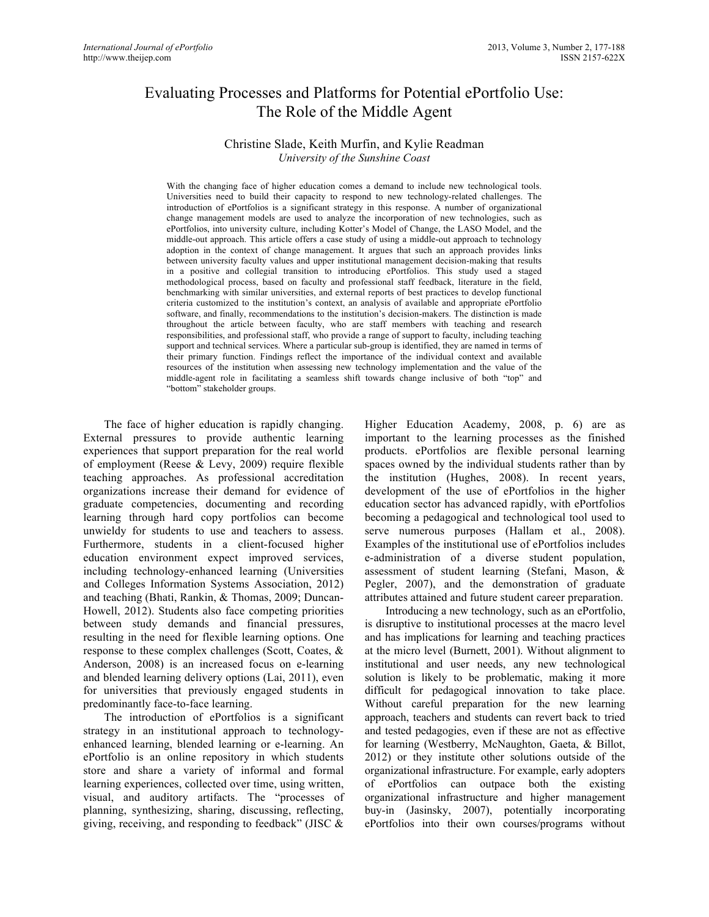# Evaluating Processes and Platforms for Potential ePortfolio Use: The Role of the Middle Agent

### Christine Slade, Keith Murfin, and Kylie Readman *University of the Sunshine Coast*

With the changing face of higher education comes a demand to include new technological tools. Universities need to build their capacity to respond to new technology-related challenges. The introduction of ePortfolios is a significant strategy in this response. A number of organizational change management models are used to analyze the incorporation of new technologies, such as ePortfolios, into university culture, including Kotter's Model of Change, the LASO Model, and the middle-out approach. This article offers a case study of using a middle-out approach to technology adoption in the context of change management. It argues that such an approach provides links between university faculty values and upper institutional management decision-making that results in a positive and collegial transition to introducing ePortfolios. This study used a staged methodological process, based on faculty and professional staff feedback, literature in the field, benchmarking with similar universities, and external reports of best practices to develop functional criteria customized to the institution's context, an analysis of available and appropriate ePortfolio software, and finally, recommendations to the institution's decision-makers. The distinction is made throughout the article between faculty, who are staff members with teaching and research responsibilities, and professional staff, who provide a range of support to faculty, including teaching support and technical services. Where a particular sub-group is identified, they are named in terms of their primary function. Findings reflect the importance of the individual context and available resources of the institution when assessing new technology implementation and the value of the middle-agent role in facilitating a seamless shift towards change inclusive of both "top" and "bottom" stakeholder groups.

The face of higher education is rapidly changing. External pressures to provide authentic learning experiences that support preparation for the real world of employment (Reese & Levy, 2009) require flexible teaching approaches. As professional accreditation organizations increase their demand for evidence of graduate competencies, documenting and recording learning through hard copy portfolios can become unwieldy for students to use and teachers to assess. Furthermore, students in a client-focused higher education environment expect improved services, including technology-enhanced learning (Universities and Colleges Information Systems Association, 2012) and teaching (Bhati, Rankin, & Thomas, 2009; Duncan-Howell, 2012). Students also face competing priorities between study demands and financial pressures, resulting in the need for flexible learning options. One response to these complex challenges (Scott, Coates, & Anderson, 2008) is an increased focus on e-learning and blended learning delivery options (Lai, 2011), even for universities that previously engaged students in predominantly face-to-face learning.

The introduction of ePortfolios is a significant strategy in an institutional approach to technologyenhanced learning, blended learning or e-learning. An ePortfolio is an online repository in which students store and share a variety of informal and formal learning experiences, collected over time, using written, visual, and auditory artifacts. The "processes of planning, synthesizing, sharing, discussing, reflecting, giving, receiving, and responding to feedback" (JISC &

Higher Education Academy, 2008, p. 6) are as important to the learning processes as the finished products. ePortfolios are flexible personal learning spaces owned by the individual students rather than by the institution (Hughes, 2008). In recent years, development of the use of ePortfolios in the higher education sector has advanced rapidly, with ePortfolios becoming a pedagogical and technological tool used to serve numerous purposes (Hallam et al., 2008). Examples of the institutional use of ePortfolios includes e-administration of a diverse student population, assessment of student learning (Stefani, Mason, & Pegler, 2007), and the demonstration of graduate attributes attained and future student career preparation.

Introducing a new technology, such as an ePortfolio, is disruptive to institutional processes at the macro level and has implications for learning and teaching practices at the micro level (Burnett, 2001). Without alignment to institutional and user needs, any new technological solution is likely to be problematic, making it more difficult for pedagogical innovation to take place. Without careful preparation for the new learning approach, teachers and students can revert back to tried and tested pedagogies, even if these are not as effective for learning (Westberry, McNaughton, Gaeta, & Billot, 2012) or they institute other solutions outside of the organizational infrastructure. For example, early adopters of ePortfolios can outpace both the existing organizational infrastructure and higher management buy-in (Jasinsky, 2007), potentially incorporating ePortfolios into their own courses/programs without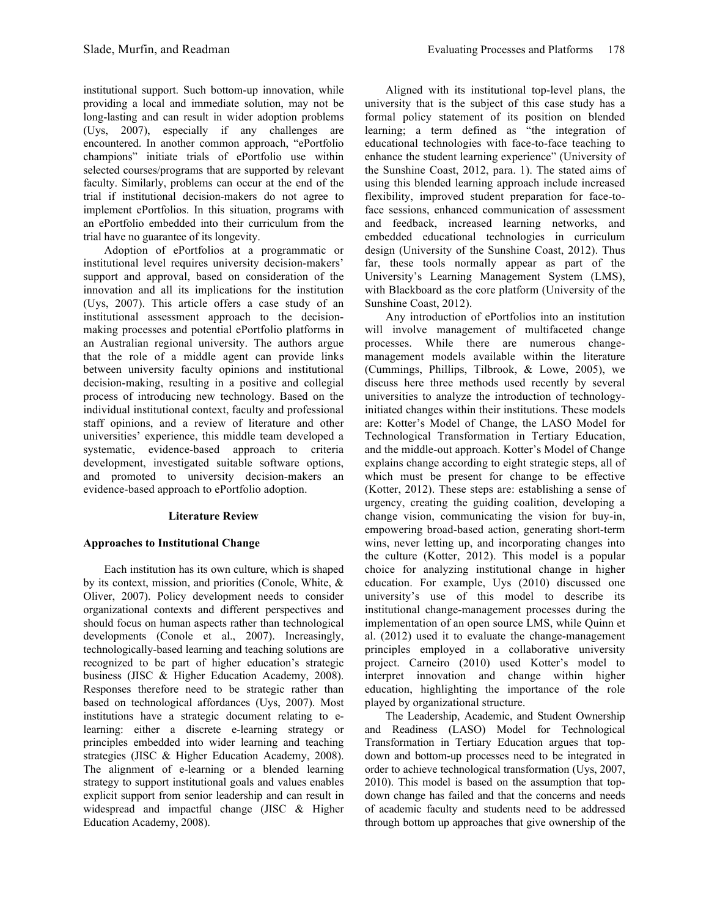institutional support. Such bottom-up innovation, while providing a local and immediate solution, may not be long-lasting and can result in wider adoption problems (Uys, 2007), especially if any challenges are encountered. In another common approach, "ePortfolio champions" initiate trials of ePortfolio use within selected courses/programs that are supported by relevant faculty. Similarly, problems can occur at the end of the trial if institutional decision-makers do not agree to implement ePortfolios. In this situation, programs with an ePortfolio embedded into their curriculum from the trial have no guarantee of its longevity.

Adoption of ePortfolios at a programmatic or institutional level requires university decision-makers' support and approval, based on consideration of the innovation and all its implications for the institution (Uys, 2007). This article offers a case study of an institutional assessment approach to the decisionmaking processes and potential ePortfolio platforms in an Australian regional university. The authors argue that the role of a middle agent can provide links between university faculty opinions and institutional decision-making, resulting in a positive and collegial process of introducing new technology. Based on the individual institutional context, faculty and professional staff opinions, and a review of literature and other universities' experience, this middle team developed a systematic, evidence-based approach to criteria development, investigated suitable software options, and promoted to university decision-makers an evidence-based approach to ePortfolio adoption.

# **Literature Review**

# **Approaches to Institutional Change**

Each institution has its own culture, which is shaped by its context, mission, and priorities (Conole, White, & Oliver, 2007). Policy development needs to consider organizational contexts and different perspectives and should focus on human aspects rather than technological developments (Conole et al., 2007). Increasingly, technologically-based learning and teaching solutions are recognized to be part of higher education's strategic business (JISC & Higher Education Academy, 2008). Responses therefore need to be strategic rather than based on technological affordances (Uys, 2007). Most institutions have a strategic document relating to elearning: either a discrete e-learning strategy or principles embedded into wider learning and teaching strategies (JISC & Higher Education Academy, 2008). The alignment of e-learning or a blended learning strategy to support institutional goals and values enables explicit support from senior leadership and can result in widespread and impactful change (JISC & Higher Education Academy, 2008).

Aligned with its institutional top-level plans, the university that is the subject of this case study has a formal policy statement of its position on blended learning; a term defined as "the integration of educational technologies with face-to-face teaching to enhance the student learning experience" (University of the Sunshine Coast, 2012, para. 1). The stated aims of using this blended learning approach include increased flexibility, improved student preparation for face-toface sessions, enhanced communication of assessment and feedback, increased learning networks, and embedded educational technologies in curriculum design (University of the Sunshine Coast, 2012). Thus far, these tools normally appear as part of the University's Learning Management System (LMS), with Blackboard as the core platform (University of the Sunshine Coast, 2012).

Any introduction of ePortfolios into an institution will involve management of multifaceted change processes. While there are numerous changemanagement models available within the literature (Cummings, Phillips, Tilbrook, & Lowe, 2005), we discuss here three methods used recently by several universities to analyze the introduction of technologyinitiated changes within their institutions. These models are: Kotter's Model of Change, the LASO Model for Technological Transformation in Tertiary Education, and the middle-out approach. Kotter's Model of Change explains change according to eight strategic steps, all of which must be present for change to be effective (Kotter, 2012). These steps are: establishing a sense of urgency, creating the guiding coalition, developing a change vision, communicating the vision for buy-in, empowering broad-based action, generating short-term wins, never letting up, and incorporating changes into the culture (Kotter, 2012). This model is a popular choice for analyzing institutional change in higher education. For example, Uys (2010) discussed one university's use of this model to describe its institutional change-management processes during the implementation of an open source LMS, while Quinn et al. (2012) used it to evaluate the change-management principles employed in a collaborative university project. Carneiro (2010) used Kotter's model to interpret innovation and change within higher education, highlighting the importance of the role played by organizational structure.

The Leadership, Academic, and Student Ownership and Readiness (LASO) Model for Technological Transformation in Tertiary Education argues that topdown and bottom-up processes need to be integrated in order to achieve technological transformation (Uys, 2007, 2010). This model is based on the assumption that topdown change has failed and that the concerns and needs of academic faculty and students need to be addressed through bottom up approaches that give ownership of the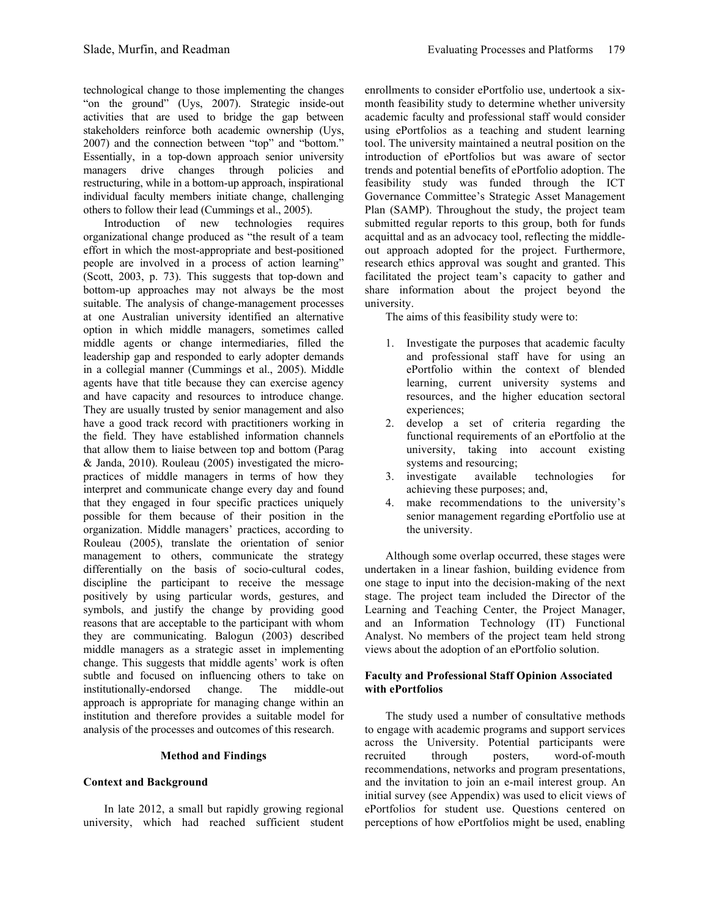technological change to those implementing the changes "on the ground" (Uys, 2007). Strategic inside-out activities that are used to bridge the gap between stakeholders reinforce both academic ownership (Uys, 2007) and the connection between "top" and "bottom." Essentially, in a top-down approach senior university managers drive changes through policies and restructuring, while in a bottom-up approach, inspirational individual faculty members initiate change, challenging others to follow their lead (Cummings et al., 2005).

Introduction of new technologies requires organizational change produced as "the result of a team effort in which the most-appropriate and best-positioned people are involved in a process of action learning" (Scott, 2003, p. 73). This suggests that top-down and bottom-up approaches may not always be the most suitable. The analysis of change-management processes at one Australian university identified an alternative option in which middle managers, sometimes called middle agents or change intermediaries, filled the leadership gap and responded to early adopter demands in a collegial manner (Cummings et al., 2005). Middle agents have that title because they can exercise agency and have capacity and resources to introduce change. They are usually trusted by senior management and also have a good track record with practitioners working in the field. They have established information channels that allow them to liaise between top and bottom (Parag & Janda, 2010). Rouleau (2005) investigated the micropractices of middle managers in terms of how they interpret and communicate change every day and found that they engaged in four specific practices uniquely possible for them because of their position in the organization. Middle managers' practices, according to Rouleau (2005), translate the orientation of senior management to others, communicate the strategy differentially on the basis of socio-cultural codes, discipline the participant to receive the message positively by using particular words, gestures, and symbols, and justify the change by providing good reasons that are acceptable to the participant with whom they are communicating. Balogun (2003) described middle managers as a strategic asset in implementing change. This suggests that middle agents' work is often subtle and focused on influencing others to take on institutionally-endorsed change. The middle-out approach is appropriate for managing change within an institution and therefore provides a suitable model for analysis of the processes and outcomes of this research.

### **Method and Findings**

### **Context and Background**

In late 2012, a small but rapidly growing regional university, which had reached sufficient student enrollments to consider ePortfolio use, undertook a sixmonth feasibility study to determine whether university academic faculty and professional staff would consider using ePortfolios as a teaching and student learning tool. The university maintained a neutral position on the introduction of ePortfolios but was aware of sector trends and potential benefits of ePortfolio adoption. The feasibility study was funded through the ICT Governance Committee's Strategic Asset Management Plan (SAMP). Throughout the study, the project team submitted regular reports to this group, both for funds acquittal and as an advocacy tool, reflecting the middleout approach adopted for the project. Furthermore, research ethics approval was sought and granted. This facilitated the project team's capacity to gather and share information about the project beyond the university.

The aims of this feasibility study were to:

- 1. Investigate the purposes that academic faculty and professional staff have for using an ePortfolio within the context of blended learning, current university systems and resources, and the higher education sectoral experiences;
- 2. develop a set of criteria regarding the functional requirements of an ePortfolio at the university, taking into account existing systems and resourcing;
- 3. investigate available technologies for achieving these purposes; and,
- 4. make recommendations to the university's senior management regarding ePortfolio use at the university.

Although some overlap occurred, these stages were undertaken in a linear fashion, building evidence from one stage to input into the decision-making of the next stage. The project team included the Director of the Learning and Teaching Center, the Project Manager, and an Information Technology (IT) Functional Analyst. No members of the project team held strong views about the adoption of an ePortfolio solution.

### **Faculty and Professional Staff Opinion Associated with ePortfolios**

The study used a number of consultative methods to engage with academic programs and support services across the University. Potential participants were recruited through posters, word-of-mouth recommendations, networks and program presentations, and the invitation to join an e-mail interest group. An initial survey (see Appendix) was used to elicit views of ePortfolios for student use. Questions centered on perceptions of how ePortfolios might be used, enabling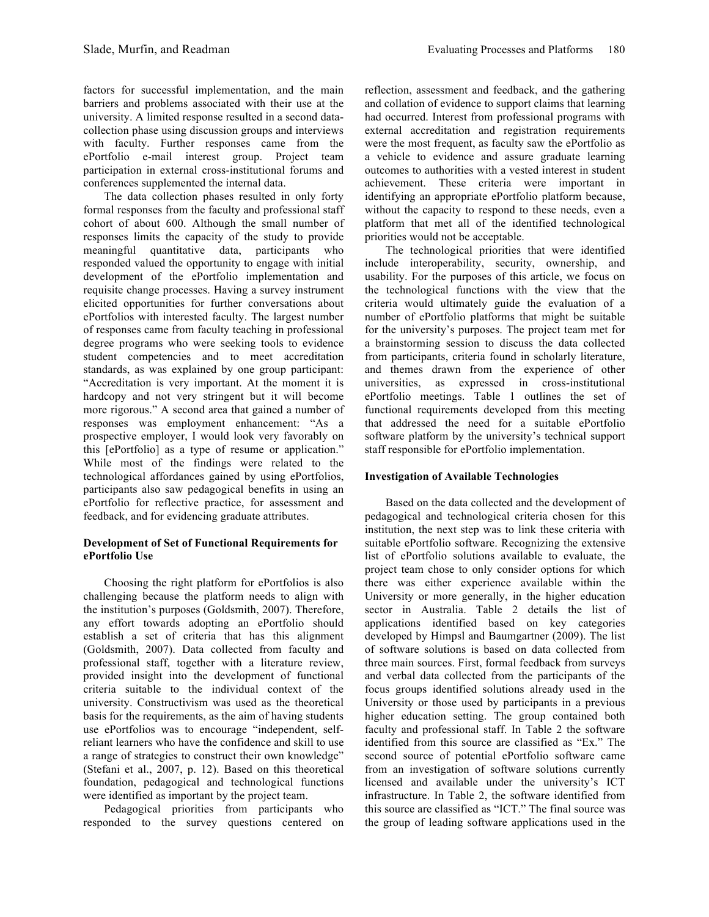factors for successful implementation, and the main barriers and problems associated with their use at the university. A limited response resulted in a second datacollection phase using discussion groups and interviews with faculty. Further responses came from the ePortfolio e-mail interest group. Project team participation in external cross-institutional forums and conferences supplemented the internal data.

The data collection phases resulted in only forty formal responses from the faculty and professional staff cohort of about 600. Although the small number of responses limits the capacity of the study to provide meaningful quantitative data, participants who responded valued the opportunity to engage with initial development of the ePortfolio implementation and requisite change processes. Having a survey instrument elicited opportunities for further conversations about ePortfolios with interested faculty. The largest number of responses came from faculty teaching in professional degree programs who were seeking tools to evidence student competencies and to meet accreditation standards, as was explained by one group participant: "Accreditation is very important. At the moment it is hardcopy and not very stringent but it will become more rigorous." A second area that gained a number of responses was employment enhancement: "As a prospective employer, I would look very favorably on this [ePortfolio] as a type of resume or application." While most of the findings were related to the technological affordances gained by using ePortfolios, participants also saw pedagogical benefits in using an ePortfolio for reflective practice, for assessment and feedback, and for evidencing graduate attributes.

### **Development of Set of Functional Requirements for ePortfolio Use**

Choosing the right platform for ePortfolios is also challenging because the platform needs to align with the institution's purposes (Goldsmith, 2007). Therefore, any effort towards adopting an ePortfolio should establish a set of criteria that has this alignment (Goldsmith, 2007). Data collected from faculty and professional staff, together with a literature review, provided insight into the development of functional criteria suitable to the individual context of the university. Constructivism was used as the theoretical basis for the requirements, as the aim of having students use ePortfolios was to encourage "independent, selfreliant learners who have the confidence and skill to use a range of strategies to construct their own knowledge" (Stefani et al., 2007, p. 12). Based on this theoretical foundation, pedagogical and technological functions were identified as important by the project team.

Pedagogical priorities from participants who responded to the survey questions centered on reflection, assessment and feedback, and the gathering and collation of evidence to support claims that learning had occurred. Interest from professional programs with external accreditation and registration requirements were the most frequent, as faculty saw the ePortfolio as a vehicle to evidence and assure graduate learning outcomes to authorities with a vested interest in student achievement. These criteria were important in identifying an appropriate ePortfolio platform because, without the capacity to respond to these needs, even a platform that met all of the identified technological priorities would not be acceptable.

The technological priorities that were identified include interoperability, security, ownership, and usability. For the purposes of this article, we focus on the technological functions with the view that the criteria would ultimately guide the evaluation of a number of ePortfolio platforms that might be suitable for the university's purposes. The project team met for a brainstorming session to discuss the data collected from participants, criteria found in scholarly literature, and themes drawn from the experience of other universities, as expressed in cross-institutional ePortfolio meetings. Table 1 outlines the set of functional requirements developed from this meeting that addressed the need for a suitable ePortfolio software platform by the university's technical support staff responsible for ePortfolio implementation.

### **Investigation of Available Technologies**

Based on the data collected and the development of pedagogical and technological criteria chosen for this institution, the next step was to link these criteria with suitable ePortfolio software. Recognizing the extensive list of ePortfolio solutions available to evaluate, the project team chose to only consider options for which there was either experience available within the University or more generally, in the higher education sector in Australia. Table 2 details the list of applications identified based on key categories developed by Himpsl and Baumgartner (2009). The list of software solutions is based on data collected from three main sources. First, formal feedback from surveys and verbal data collected from the participants of the focus groups identified solutions already used in the University or those used by participants in a previous higher education setting. The group contained both faculty and professional staff. In Table 2 the software identified from this source are classified as "Ex." The second source of potential ePortfolio software came from an investigation of software solutions currently licensed and available under the university's ICT infrastructure. In Table 2, the software identified from this source are classified as "ICT." The final source was the group of leading software applications used in the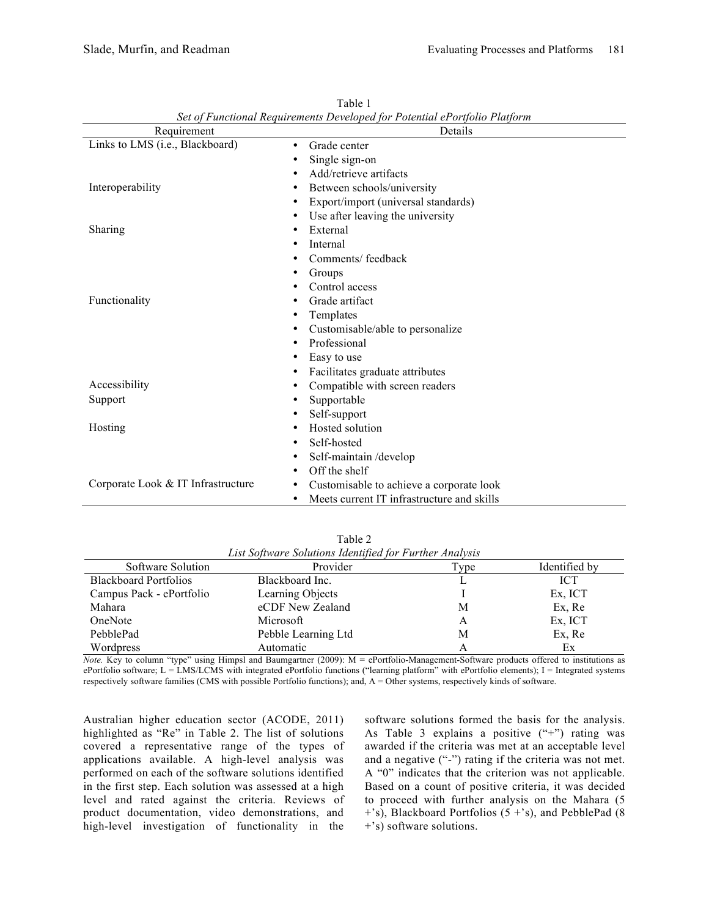| Requirement                                     | Details                                    |
|-------------------------------------------------|--------------------------------------------|
| Links to LMS (i.e., Blackboard)<br>$\bullet$    | Grade center                               |
|                                                 | Single sign-on                             |
|                                                 | Add/retrieve artifacts                     |
| Interoperability<br>$\bullet$                   | Between schools/university                 |
|                                                 | Export/import (universal standards)        |
| ٠                                               | Use after leaving the university           |
| Sharing<br>٠                                    | External                                   |
| ٠                                               | Internal                                   |
|                                                 | Comments/feedback                          |
| ٠                                               | Groups                                     |
|                                                 | Control access                             |
| Functionality<br>٠                              | Grade artifact                             |
|                                                 | Templates                                  |
| ٠                                               | Customisable/able to personalize           |
| ٠                                               | Professional                               |
| ٠                                               | Easy to use                                |
|                                                 | Facilitates graduate attributes            |
| Accessibility                                   | Compatible with screen readers             |
| Support                                         | Supportable                                |
|                                                 | Self-support                               |
| Hosting<br>٠                                    | Hosted solution                            |
| ٠                                               | Self-hosted                                |
| ٠                                               | Self-maintain/develop                      |
| ٠                                               | Off the shelf                              |
| Corporate Look & IT Infrastructure<br>$\bullet$ | Customisable to achieve a corporate look   |
| ٠                                               | Meets current IT infrastructure and skills |

Table 1 *Set of Functional Requirements Developed for Potential ePortfolio Platform*

| Table 2                                                 |
|---------------------------------------------------------|
| List Software Solutions Identified for Further Analysis |

| Software Solution            | Les Software Soundons Iaentifica for I armer Amarysis<br>Provider | <b>Type</b> | Identified by |
|------------------------------|-------------------------------------------------------------------|-------------|---------------|
| <b>Blackboard Portfolios</b> | Blackboard Inc.                                                   |             | <b>ICT</b>    |
| Campus Pack - ePortfolio     | Learning Objects                                                  |             | Ex, ICT       |
| Mahara                       | eCDF New Zealand                                                  | M           | Ex, Re        |
| OneNote                      | Microsoft                                                         | А           | Ex, ICT       |
| PebblePad                    | Pebble Learning Ltd                                               | М           | Ex, Re        |
| Wordpress                    | Automatic                                                         |             | Ex            |

*Note.* Key to column "type" using Himpsl and Baumgartner (2009): M = ePortfolio-Management-Software products offered to institutions as ePortfolio software; L = LMS/LCMS with integrated ePortfolio functions ("learning platform" with ePortfolio elements); I = Integrated systems respectively software families (CMS with possible Portfolio functions); and, A = Other systems, respectively kinds of software.

Australian higher education sector (ACODE, 2011) highlighted as "Re" in Table 2. The list of solutions covered a representative range of the types of applications available. A high-level analysis was performed on each of the software solutions identified in the first step. Each solution was assessed at a high level and rated against the criteria. Reviews of product documentation, video demonstrations, and high-level investigation of functionality in the

software solutions formed the basis for the analysis. As Table 3 explains a positive ("+") rating was awarded if the criteria was met at an acceptable level and a negative ("-") rating if the criteria was not met. A "0" indicates that the criterion was not applicable. Based on a count of positive criteria, it was decided to proceed with further analysis on the Mahara (5  $+$ 's), Blackboard Portfolios (5  $+$ 's), and PebblePad (8) +'s) software solutions.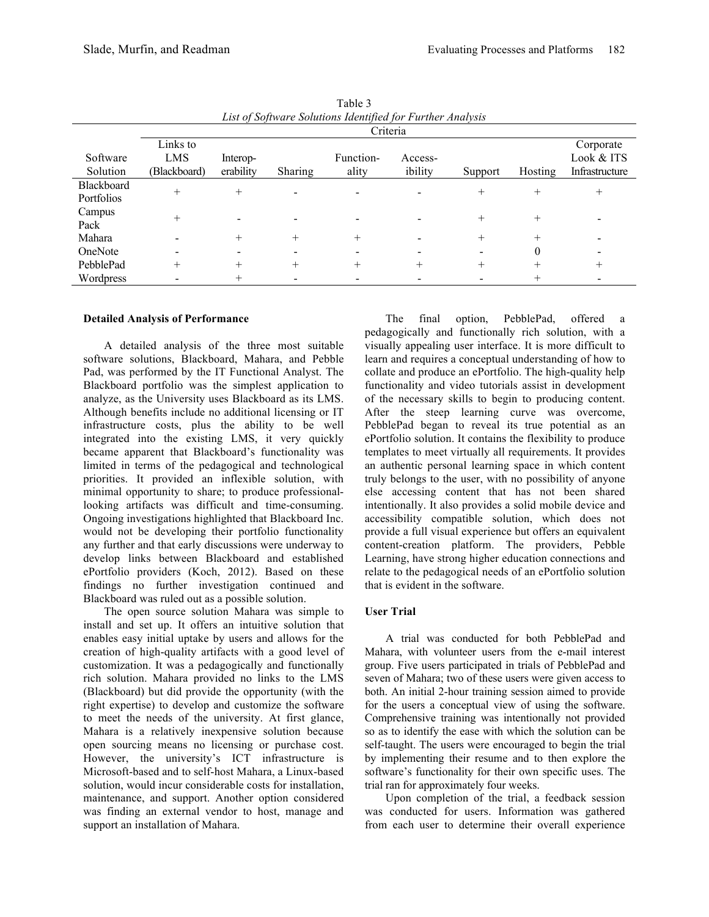| List of Software Solutions Identified for Further Analysis |                                        |                       |                          |                    |                    |         |         |                                           |
|------------------------------------------------------------|----------------------------------------|-----------------------|--------------------------|--------------------|--------------------|---------|---------|-------------------------------------------|
|                                                            | Criteria                               |                       |                          |                    |                    |         |         |                                           |
| Software<br>Solution                                       | Links to<br><b>LMS</b><br>(Blackboard) | Interop-<br>erability | <b>Sharing</b>           | Function-<br>ality | Access-<br>ibility | Support | Hosting | Corporate<br>Look & ITS<br>Infrastructure |
| <b>Blackboard</b>                                          |                                        |                       |                          |                    |                    |         |         |                                           |
| Portfolios                                                 | $^{+}$                                 | $\overline{+}$        | $\overline{\phantom{a}}$ |                    |                    | $^+$    | $^{+}$  |                                           |
| Campus<br>Pack                                             |                                        |                       |                          |                    |                    |         | $^{+}$  |                                           |
| Mahara                                                     |                                        |                       | $^+$                     | $^{+}$             |                    | $^+$    | $^{+}$  |                                           |
| OneNote                                                    |                                        |                       |                          |                    |                    |         | 0       |                                           |
| PebblePad                                                  |                                        |                       |                          |                    |                    | $^+$    | $\pm$   |                                           |
| Wordpress                                                  |                                        |                       |                          |                    |                    |         | $^+$    |                                           |

Table 3 *List of Software Solutions Identified for Further Analysis*

#### **Detailed Analysis of Performance**

A detailed analysis of the three most suitable software solutions, Blackboard, Mahara, and Pebble Pad, was performed by the IT Functional Analyst. The Blackboard portfolio was the simplest application to analyze, as the University uses Blackboard as its LMS. Although benefits include no additional licensing or IT infrastructure costs, plus the ability to be well integrated into the existing LMS, it very quickly became apparent that Blackboard's functionality was limited in terms of the pedagogical and technological priorities. It provided an inflexible solution, with minimal opportunity to share; to produce professionallooking artifacts was difficult and time-consuming. Ongoing investigations highlighted that Blackboard Inc. would not be developing their portfolio functionality any further and that early discussions were underway to develop links between Blackboard and established ePortfolio providers (Koch, 2012). Based on these findings no further investigation continued and Blackboard was ruled out as a possible solution.

The open source solution Mahara was simple to install and set up. It offers an intuitive solution that enables easy initial uptake by users and allows for the creation of high-quality artifacts with a good level of customization. It was a pedagogically and functionally rich solution. Mahara provided no links to the LMS (Blackboard) but did provide the opportunity (with the right expertise) to develop and customize the software to meet the needs of the university. At first glance, Mahara is a relatively inexpensive solution because open sourcing means no licensing or purchase cost. However, the university's ICT infrastructure is Microsoft-based and to self-host Mahara, a Linux-based solution, would incur considerable costs for installation, maintenance, and support. Another option considered was finding an external vendor to host, manage and support an installation of Mahara.

The final option, PebblePad, offered a pedagogically and functionally rich solution, with a visually appealing user interface. It is more difficult to learn and requires a conceptual understanding of how to collate and produce an ePortfolio. The high-quality help functionality and video tutorials assist in development of the necessary skills to begin to producing content. After the steep learning curve was overcome, PebblePad began to reveal its true potential as an ePortfolio solution. It contains the flexibility to produce templates to meet virtually all requirements. It provides an authentic personal learning space in which content truly belongs to the user, with no possibility of anyone else accessing content that has not been shared intentionally. It also provides a solid mobile device and accessibility compatible solution, which does not provide a full visual experience but offers an equivalent content-creation platform. The providers, Pebble Learning, have strong higher education connections and relate to the pedagogical needs of an ePortfolio solution that is evident in the software.

### **User Trial**

A trial was conducted for both PebblePad and Mahara, with volunteer users from the e-mail interest group. Five users participated in trials of PebblePad and seven of Mahara; two of these users were given access to both. An initial 2-hour training session aimed to provide for the users a conceptual view of using the software. Comprehensive training was intentionally not provided so as to identify the ease with which the solution can be self-taught. The users were encouraged to begin the trial by implementing their resume and to then explore the software's functionality for their own specific uses. The trial ran for approximately four weeks.

Upon completion of the trial, a feedback session was conducted for users. Information was gathered from each user to determine their overall experience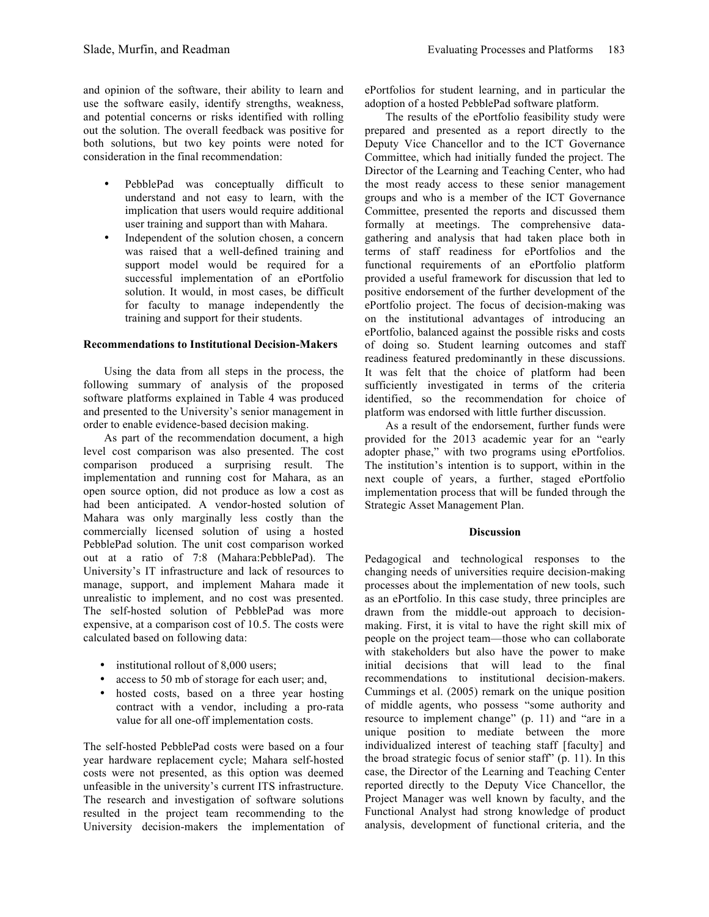and opinion of the software, their ability to learn and use the software easily, identify strengths, weakness, and potential concerns or risks identified with rolling out the solution. The overall feedback was positive for both solutions, but two key points were noted for consideration in the final recommendation:

- PebblePad was conceptually difficult to understand and not easy to learn, with the implication that users would require additional user training and support than with Mahara.
- Independent of the solution chosen, a concern was raised that a well-defined training and support model would be required for a successful implementation of an ePortfolio solution. It would, in most cases, be difficult for faculty to manage independently the training and support for their students.

# **Recommendations to Institutional Decision-Makers**

Using the data from all steps in the process, the following summary of analysis of the proposed software platforms explained in Table 4 was produced and presented to the University's senior management in order to enable evidence-based decision making.

As part of the recommendation document, a high level cost comparison was also presented. The cost comparison produced a surprising result. The implementation and running cost for Mahara, as an open source option, did not produce as low a cost as had been anticipated. A vendor-hosted solution of Mahara was only marginally less costly than the commercially licensed solution of using a hosted PebblePad solution. The unit cost comparison worked out at a ratio of 7:8 (Mahara:PebblePad). The University's IT infrastructure and lack of resources to manage, support, and implement Mahara made it unrealistic to implement, and no cost was presented. The self-hosted solution of PebblePad was more expensive, at a comparison cost of 10.5. The costs were calculated based on following data:

- institutional rollout of 8,000 users;
- access to 50 mb of storage for each user; and,
- hosted costs, based on a three year hosting contract with a vendor, including a pro-rata value for all one-off implementation costs.

The self-hosted PebblePad costs were based on a four year hardware replacement cycle; Mahara self-hosted costs were not presented, as this option was deemed unfeasible in the university's current ITS infrastructure. The research and investigation of software solutions resulted in the project team recommending to the University decision-makers the implementation of ePortfolios for student learning, and in particular the adoption of a hosted PebblePad software platform.

The results of the ePortfolio feasibility study were prepared and presented as a report directly to the Deputy Vice Chancellor and to the ICT Governance Committee, which had initially funded the project. The Director of the Learning and Teaching Center, who had the most ready access to these senior management groups and who is a member of the ICT Governance Committee, presented the reports and discussed them formally at meetings. The comprehensive datagathering and analysis that had taken place both in terms of staff readiness for ePortfolios and the functional requirements of an ePortfolio platform provided a useful framework for discussion that led to positive endorsement of the further development of the ePortfolio project. The focus of decision-making was on the institutional advantages of introducing an ePortfolio, balanced against the possible risks and costs of doing so. Student learning outcomes and staff readiness featured predominantly in these discussions. It was felt that the choice of platform had been sufficiently investigated in terms of the criteria identified, so the recommendation for choice of platform was endorsed with little further discussion.

As a result of the endorsement, further funds were provided for the 2013 academic year for an "early adopter phase," with two programs using ePortfolios. The institution's intention is to support, within in the next couple of years, a further, staged ePortfolio implementation process that will be funded through the Strategic Asset Management Plan.

# **Discussion**

Pedagogical and technological responses to the changing needs of universities require decision-making processes about the implementation of new tools, such as an ePortfolio. In this case study, three principles are drawn from the middle-out approach to decisionmaking. First, it is vital to have the right skill mix of people on the project team—those who can collaborate with stakeholders but also have the power to make initial decisions that will lead to the final recommendations to institutional decision-makers. Cummings et al. (2005) remark on the unique position of middle agents, who possess "some authority and resource to implement change" (p. 11) and "are in a unique position to mediate between the more individualized interest of teaching staff [faculty] and the broad strategic focus of senior staff" (p. 11). In this case, the Director of the Learning and Teaching Center reported directly to the Deputy Vice Chancellor, the Project Manager was well known by faculty, and the Functional Analyst had strong knowledge of product analysis, development of functional criteria, and the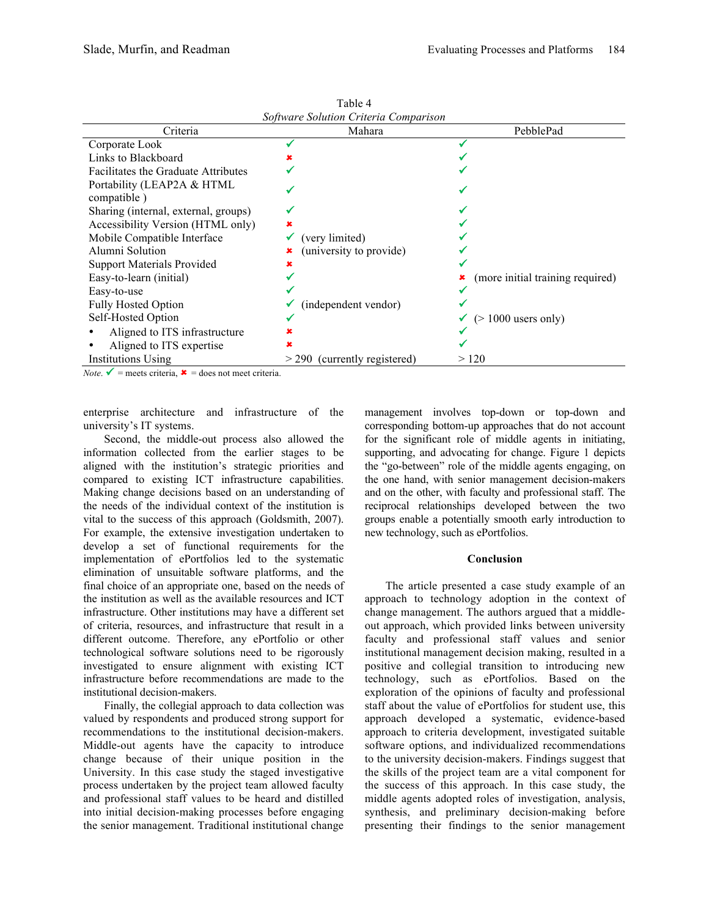| Software Solution Criteria Comparison                                                                               |                                |                                  |  |  |
|---------------------------------------------------------------------------------------------------------------------|--------------------------------|----------------------------------|--|--|
| Criteria                                                                                                            | Mahara                         | PebblePad                        |  |  |
| Corporate Look                                                                                                      |                                |                                  |  |  |
| Links to Blackboard                                                                                                 |                                |                                  |  |  |
| <b>Facilitates the Graduate Attributes</b>                                                                          |                                |                                  |  |  |
| Portability (LEAP2A & HTML<br>compatible)                                                                           |                                |                                  |  |  |
| Sharing (internal, external, groups)                                                                                |                                |                                  |  |  |
| Accessibility Version (HTML only)                                                                                   |                                |                                  |  |  |
| Mobile Compatible Interface                                                                                         | (very limited)                 |                                  |  |  |
| Alumni Solution                                                                                                     | (university to provide)        |                                  |  |  |
| <b>Support Materials Provided</b>                                                                                   |                                |                                  |  |  |
| Easy-to-learn (initial)                                                                                             |                                | (more initial training required) |  |  |
| Easy-to-use                                                                                                         |                                |                                  |  |  |
| <b>Fully Hosted Option</b>                                                                                          | (independent vendor)           |                                  |  |  |
| Self-Hosted Option                                                                                                  |                                | $($ > 1000 users only)           |  |  |
| Aligned to ITS infrastructure                                                                                       |                                |                                  |  |  |
| Aligned to ITS expertise                                                                                            |                                |                                  |  |  |
| Institutions Using<br>$N_{\alpha\beta\alpha}$ $\mathcal{N}$ = measts autoria $\mathcal{N}$ = dees not meast autoria | $>$ 290 (currently registered) | >120                             |  |  |

Table 4

*Note*.  $\mathbf{v}$  = meets criteria,  $\mathbf{x}$  = does not meet criteria.

enterprise architecture and infrastructure of the university's IT systems.

Second, the middle-out process also allowed the information collected from the earlier stages to be aligned with the institution's strategic priorities and compared to existing ICT infrastructure capabilities. Making change decisions based on an understanding of the needs of the individual context of the institution is vital to the success of this approach (Goldsmith, 2007). For example, the extensive investigation undertaken to develop a set of functional requirements for the implementation of ePortfolios led to the systematic elimination of unsuitable software platforms, and the final choice of an appropriate one, based on the needs of the institution as well as the available resources and ICT infrastructure. Other institutions may have a different set of criteria, resources, and infrastructure that result in a different outcome. Therefore, any ePortfolio or other technological software solutions need to be rigorously investigated to ensure alignment with existing ICT infrastructure before recommendations are made to the institutional decision-makers.

Finally, the collegial approach to data collection was valued by respondents and produced strong support for recommendations to the institutional decision-makers. Middle-out agents have the capacity to introduce change because of their unique position in the University. In this case study the staged investigative process undertaken by the project team allowed faculty and professional staff values to be heard and distilled into initial decision-making processes before engaging the senior management. Traditional institutional change

management involves top-down or top-down and corresponding bottom-up approaches that do not account for the significant role of middle agents in initiating, supporting, and advocating for change. Figure 1 depicts the "go-between" role of the middle agents engaging, on the one hand, with senior management decision-makers and on the other, with faculty and professional staff. The reciprocal relationships developed between the two groups enable a potentially smooth early introduction to new technology, such as ePortfolios.

#### **Conclusion**

The article presented a case study example of an approach to technology adoption in the context of change management. The authors argued that a middleout approach, which provided links between university faculty and professional staff values and senior institutional management decision making, resulted in a positive and collegial transition to introducing new technology, such as ePortfolios. Based on the exploration of the opinions of faculty and professional staff about the value of ePortfolios for student use, this approach developed a systematic, evidence-based approach to criteria development, investigated suitable software options, and individualized recommendations to the university decision-makers. Findings suggest that the skills of the project team are a vital component for the success of this approach. In this case study, the middle agents adopted roles of investigation, analysis, synthesis, and preliminary decision-making before presenting their findings to the senior management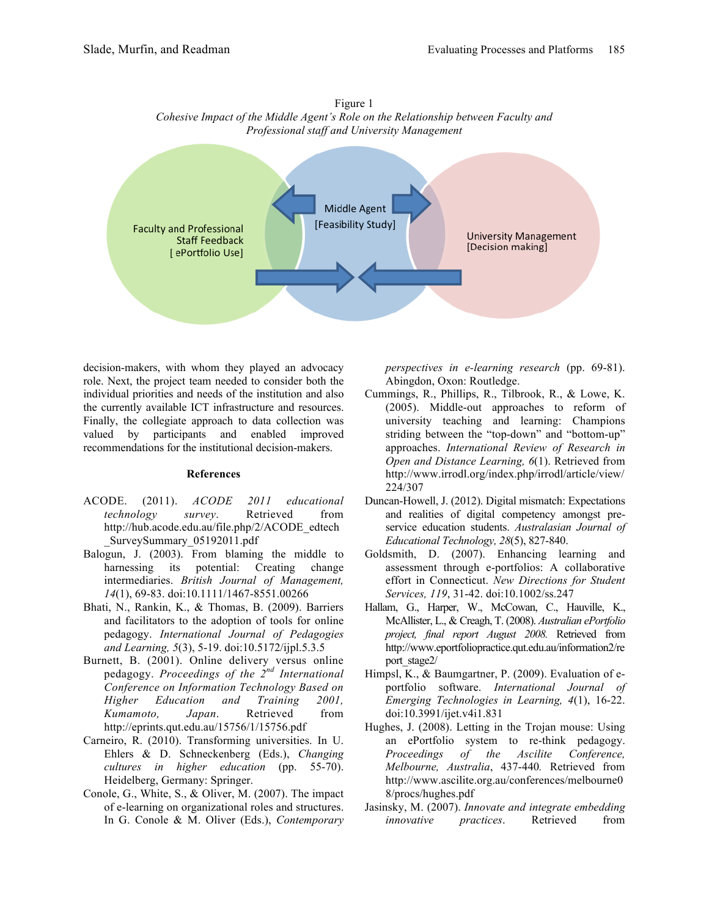



decision-makers, with whom they played an advocacy role. Next, the project team needed to consider both the individual priorities and needs of the institution and also the currently available ICT infrastructure and resources. Finally, the collegiate approach to data collection was valued by participants and enabled improved recommendations for the institutional decision-makers.

#### **References**

- ACODE. (2011). *ACODE 2011 educational technology survey*. Retrieved from http://hub.acode.edu.au/file.php/2/ACODE\_edtech \_SurveySummary\_05192011.pdf
- Balogun, J. (2003). From blaming the middle to harnessing its potential: Creating change intermediaries. *British Journal of Management, 14*(1), 69-83. doi:10.1111/1467-8551.00266
- Bhati, N., Rankin, K., & Thomas, B. (2009). Barriers and facilitators to the adoption of tools for online pedagogy. *International Journal of Pedagogies and Learning, 5*(3), 5-19. doi:10.5172/ijpl.5.3.5
- Burnett, B. (2001). Online delivery versus online pedagogy. *Proceedings of the 2nd International Conference on Information Technology Based on Higher Education and Training 2001, Kumamoto, Japan*. Retrieved from http://eprints.qut.edu.au/15756/1/15756.pdf
- Carneiro, R. (2010). Transforming universities. In U. Ehlers & D. Schneckenberg (Eds.), *Changing cultures in higher education* (pp. 55-70). Heidelberg, Germany: Springer.
- Conole, G., White, S., & Oliver, M. (2007). The impact of e-learning on organizational roles and structures. In G. Conole & M. Oliver (Eds.), *Contemporary*

*perspectives in e-learning research* (pp. 69-81). Abingdon, Oxon: Routledge.

- Cummings, R., Phillips, R., Tilbrook, R., & Lowe, K. (2005). Middle-out approaches to reform of university teaching and learning: Champions striding between the "top-down" and "bottom-up" approaches. *International Review of Research in Open and Distance Learning, 6*(1). Retrieved from http://www.irrodl.org/index.php/irrodl/article/view/ 224/307
- Duncan-Howell, J. (2012). Digital mismatch: Expectations and realities of digital competency amongst preservice education students. *Australasian Journal of Educational Technology, 28*(5), 827-840.
- Goldsmith, D. (2007). Enhancing learning and assessment through e-portfolios: A collaborative effort in Connecticut. *New Directions for Student Services, 119*, 31-42. doi:10.1002/ss.247
- Hallam, G., Harper, W., McCowan, C., Hauville, K., McAllister, L., & Creagh, T. (2008). *Australian ePortfolio project, final report August 2008.* Retrieved from http://www.eportfoliopractice.qut.edu.au/information2/re port\_stage2/
- Himpsl, K., & Baumgartner, P. (2009). Evaluation of eportfolio software. *International Journal of Emerging Technologies in Learning, 4*(1), 16-22. doi:10.3991/ijet.v4i1.831
- Hughes, J. (2008). Letting in the Trojan mouse: Using an ePortfolio system to re-think pedagogy. *Proceedings of the Ascilite Conference, Melbourne, Australia*, 437-440*.* Retrieved from http://www.ascilite.org.au/conferences/melbourne0 8/procs/hughes.pdf
- Jasinsky, M. (2007). *Innovate and integrate embedding innovative practices*. Retrieved from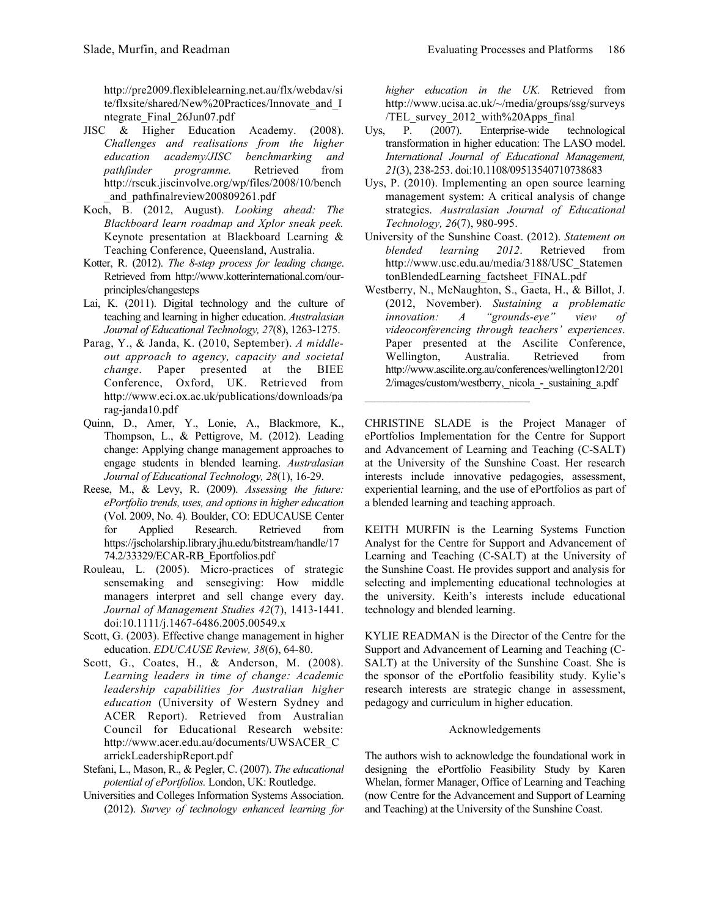http://pre2009.flexiblelearning.net.au/flx/webdav/si te/flxsite/shared/New%20Practices/Innovate\_and\_I ntegrate\_Final\_26Jun07.pdf

- JISC & Higher Education Academy. (2008). *Challenges and realisations from the higher education academy/JISC benchmarking and pathfinder programme.* Retrieved from http://rscuk.jiscinvolve.org/wp/files/2008/10/bench \_and\_pathfinalreview200809261.pdf
- Koch, B. (2012, August). *Looking ahead: The Blackboard learn roadmap and Xplor sneak peek.*  Keynote presentation at Blackboard Learning & Teaching Conference, Queensland, Australia.
- Kotter, R. (2012). *The 8-step process for leading change*. Retrieved from http://www.kotterinternational.com/ourprinciples/changesteps
- Lai, K. (2011). Digital technology and the culture of teaching and learning in higher education. *Australasian Journal of Educational Technology, 27*(8), 1263-1275.
- Parag, Y., & Janda, K. (2010, September). *A middleout approach to agency, capacity and societal change*. Paper presented at the BIEE Conference, Oxford, UK. Retrieved from http://www.eci.ox.ac.uk/publications/downloads/pa rag-janda10.pdf
- Quinn, D., Amer, Y., Lonie, A., Blackmore, K., Thompson, L., & Pettigrove, M. (2012). Leading change: Applying change management approaches to engage students in blended learning. *Australasian Journal of Educational Technology, 28*(1), 16-29.
- Reese, M., & Levy, R. (2009). *Assessing the future: ePortfolio trends, uses, and options in higher education*  (Vol. 2009, No. 4)*.* Boulder, CO: EDUCAUSE Center for Applied Research. Retrieved from https://jscholarship.library.jhu.edu/bitstream/handle/17 74.2/33329/ECAR-RB\_Eportfolios.pdf
- Rouleau, L. (2005). Micro-practices of strategic sensemaking and sensegiving: How middle managers interpret and sell change every day. *Journal of Management Studies 42*(7), 1413-1441. doi:10.1111/j.1467-6486.2005.00549.x
- Scott, G. (2003). Effective change management in higher education. *EDUCAUSE Review, 38*(6), 64-80.
- Scott, G., Coates, H., & Anderson, M. (2008). *Learning leaders in time of change: Academic leadership capabilities for Australian higher education* (University of Western Sydney and ACER Report). Retrieved from Australian Council for Educational Research website: http://www.acer.edu.au/documents/UWSACER\_C arrickLeadershipReport.pdf
- Stefani, L., Mason, R., & Pegler, C. (2007). *The educational potential of ePortfolios.* London, UK: Routledge.
- Universities and Colleges Information Systems Association. (2012). *Survey of technology enhanced learning for*

*higher education in the UK.* Retrieved from http://www.ucisa.ac.uk/~/media/groups/ssg/surveys /TEL\_survey\_2012\_with%20Apps\_final

- Uys, P. (2007). Enterprise-wide technological transformation in higher education: The LASO model. *International Journal of Educational Management, 21*(3), 238-253. doi:10.1108/09513540710738683
- Uys, P. (2010). Implementing an open source learning management system: A critical analysis of change strategies. *Australasian Journal of Educational Technology, 26*(7), 980-995.
- University of the Sunshine Coast. (2012). *Statement on blended learning 2012*. Retrieved from http://www.usc.edu.au/media/3188/USC\_Statemen tonBlendedLearning\_factsheet\_FINAL.pdf
- Westberry, N., McNaughton, S., Gaeta, H., & Billot, J. (2012, November). *Sustaining a problematic innovation: A "grounds-eye" view of videoconferencing through teachers' experiences*. Paper presented at the Ascilite Conference, Wellington, Australia. Retrieved from http://www.ascilite.org.au/conferences/wellington12/201 2/images/custom/westberry,\_nicola\_-\_sustaining\_a.pdf

CHRISTINE SLADE is the Project Manager of ePortfolios Implementation for the Centre for Support and Advancement of Learning and Teaching (C-SALT) at the University of the Sunshine Coast. Her research interests include innovative pedagogies, assessment, experiential learning, and the use of ePortfolios as part of a blended learning and teaching approach.

KEITH MURFIN is the Learning Systems Function Analyst for the Centre for Support and Advancement of Learning and Teaching (C-SALT) at the University of the Sunshine Coast. He provides support and analysis for selecting and implementing educational technologies at the university. Keith's interests include educational technology and blended learning.

KYLIE READMAN is the Director of the Centre for the Support and Advancement of Learning and Teaching (C-SALT) at the University of the Sunshine Coast. She is the sponsor of the ePortfolio feasibility study. Kylie's research interests are strategic change in assessment, pedagogy and curriculum in higher education.

#### Acknowledgements

The authors wish to acknowledge the foundational work in designing the ePortfolio Feasibility Study by Karen Whelan, former Manager, Office of Learning and Teaching (now Centre for the Advancement and Support of Learning and Teaching) at the University of the Sunshine Coast.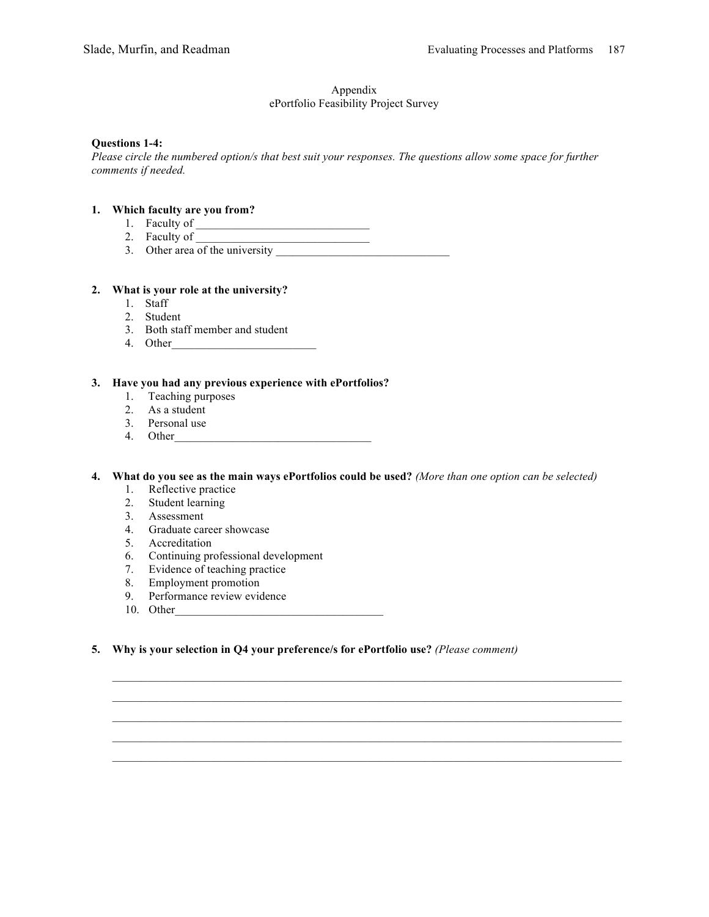# Appendix

# ePortfolio Feasibility Project Survey

# **Questions 1-4:**

*Please circle the numbered option/s that best suit your responses. The questions allow some space for further comments if needed.*

# **1. Which faculty are you from?**

- 1. Faculty of \_\_\_\_\_\_\_\_\_\_\_\_\_\_\_\_\_\_\_\_\_\_\_\_\_\_\_\_\_\_
	- 2. Faculty of  $\frac{1}{\sqrt{1-\frac{1}{2}}\sqrt{1-\frac{1}{2}}\sqrt{1-\frac{1}{2}}\sqrt{1-\frac{1}{2}}}}$
	- 3. Other area of the university

# **2. What is your role at the university?**

- 1. Staff
- 2. Student
- 3. Both staff member and student
- 4. Other\_\_\_\_\_\_\_\_\_\_\_\_\_\_\_\_\_\_\_\_\_\_\_\_\_

# **3. Have you had any previous experience with ePortfolios?**

- 1. Teaching purposes
- 2. As a student
- 3. Personal use
- 4. Other\_\_\_\_\_\_\_\_\_\_\_\_\_\_\_\_\_\_\_\_\_\_\_\_\_\_\_\_\_\_\_\_\_\_

**4. What do you see as the main ways ePortfolios could be used?** *(More than one option can be selected)*

- 1. Reflective practice
- 2. Student learning
- 3. Assessment
- 4. Graduate career showcase
- 5. Accreditation
- 6. Continuing professional development
- 7. Evidence of teaching practice
- 8. Employment promotion
- 9. Performance review evidence
- 10. Other\_\_\_\_\_\_\_\_\_\_\_\_\_\_\_\_\_\_\_\_\_\_\_\_\_\_\_\_\_\_\_\_\_\_\_\_
- **5. Why is your selection in Q4 your preference/s for ePortfolio use?** *(Please comment)*